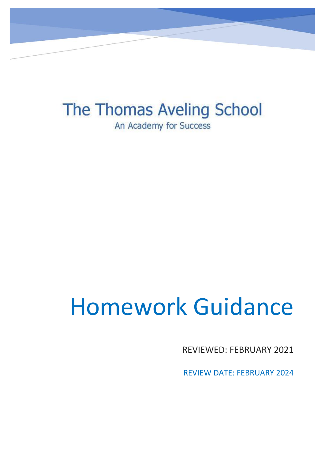The Thomas Aveling School An Academy for Success

# Homework Guidance

REVIEWED: FEBRUARY 2021

REVIEW DATE: FEBRUARY 2024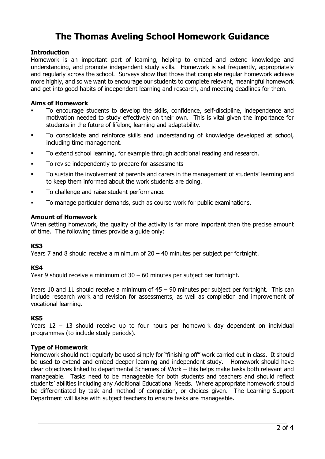# **The Thomas Aveling School Homework Guidance**

# **Introduction**

Homework is an important part of learning, helping to embed and extend knowledge and understanding, and promote independent study skills. Homework is set frequently, appropriately and regularly across the school. Surveys show that those that complete regular homework achieve more highly, and so we want to encourage our students to complete relevant, meaningful homework and get into good habits of independent learning and research, and meeting deadlines for them.

#### **Aims of Homework**

- To encourage students to develop the skills, confidence, self-discipline, independence and motivation needed to study effectively on their own. This is vital given the importance for students in the future of lifelong learning and adaptability.
- To consolidate and reinforce skills and understanding of knowledge developed at school, including time management.
- To extend school learning, for example through additional reading and research.
- To revise independently to prepare for assessments
- To sustain the involvement of parents and carers in the management of students' learning and to keep them informed about the work students are doing.
- To challenge and raise student performance.
- To manage particular demands, such as course work for public examinations.

### **Amount of Homework**

When setting homework, the quality of the activity is far more important than the precise amount of time. The following times provide a guide only:

#### **KS3**

Years 7 and 8 should receive a minimum of  $20 - 40$  minutes per subject per fortnight.

# **KS4**

Year 9 should receive a minimum of 30 – 60 minutes per subject per fortnight.

Years 10 and 11 should receive a minimum of  $45 - 90$  minutes per subject per fortnight. This can include research work and revision for assessments, as well as completion and improvement of vocational learning.

#### **KS5**

Years 12 – 13 should receive up to four hours per homework day dependent on individual programmes (to include study periods).

# **Type of Homework**

Homework should not regularly be used simply for "finishing off" work carried out in class. It should be used to extend and embed deeper learning and independent study. Homework should have clear objectives linked to departmental Schemes of Work – this helps make tasks both relevant and manageable. Tasks need to be manageable for both students and teachers and should reflect students' abilities including any Additional Educational Needs. Where appropriate homework should be differentiated by task and method of completion, or choices given. The Learning Support Department will liaise with subject teachers to ensure tasks are manageable.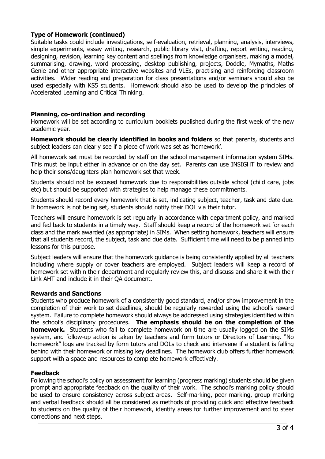# **Type of Homework (continued)**

Suitable tasks could include investigations, self-evaluation, retrieval, planning, analysis, interviews, simple experiments, essay writing, research, public library visit, drafting, report writing, reading, designing, revision, learning key content and spellings from knowledge organisers, making a model, summarising, drawing, word processing, desktop publishing, projects, Doddle, Mymaths, Maths Genie and other appropriate interactive websites and VLEs, practising and reinforcing classroom activities. Wider reading and preparation for class presentations and/or seminars should also be used especially with KS5 students. Homework should also be used to develop the principles of Accelerated Learning and Critical Thinking.

#### **Planning, co-ordination and recording**

Homework will be set according to curriculum booklets published during the first week of the new academic year.

**Homework should be clearly identified in books and folders** so that parents, students and subject leaders can clearly see if a piece of work was set as 'homework'.

All homework set must be recorded by staff on the school management information system SIMs. This must be input either in advance or on the day set. Parents can use INSIGHT to review and help their sons/daughters plan homework set that week.

Students should not be excused homework due to responsibilities outside school (child care, jobs etc) but should be supported with strategies to help manage these commitments.

Students should record every homework that is set, indicating subject, teacher, task and date due. If homework is not being set, students should notify their DOL via their tutor.

Teachers will ensure homework is set regularly in accordance with department policy, and marked and fed back to students in a timely way. Staff should keep a record of the homework set for each class and the mark awarded (as appropriate) in SIMs. When setting homework, teachers will ensure that all students record, the subject, task and due date. Sufficient time will need to be planned into lessons for this purpose.

Subject leaders will ensure that the homework guidance is being consistently applied by all teachers including where supply or cover teachers are employed. Subject leaders will keep a record of homework set within their department and regularly review this, and discuss and share it with their Link AHT and include it in their QA document.

#### **Rewards and Sanctions**

Students who produce homework of a consistently good standard, and/or show improvement in the completion of their work to set deadlines, should be regularly rewarded using the school's reward system. Failure to complete homework should always be addressed using strategies identified within the school's disciplinary procedures. **The emphasis should be on the completion of the homework.** Students who fail to complete homework on time are usually logged on the SIMs system, and follow-up action is taken by teachers and form tutors or Directors of Learning. "No homework" logs are tracked by form tutors and DOLs to check and intervene if a student is falling behind with their homework or missing key deadlines. The homework club offers further homework support with a space and resources to complete homework effectively.

# **Feedback**

Following the school's policy on assessment for learning (progress marking) students should be given prompt and appropriate feedback on the quality of their work. The school's marking policy should be used to ensure consistency across subject areas. Self-marking, peer marking, group marking and verbal feedback should all be considered as methods of providing quick and effective feedback to students on the quality of their homework, identify areas for further improvement and to steer corrections and next steps.